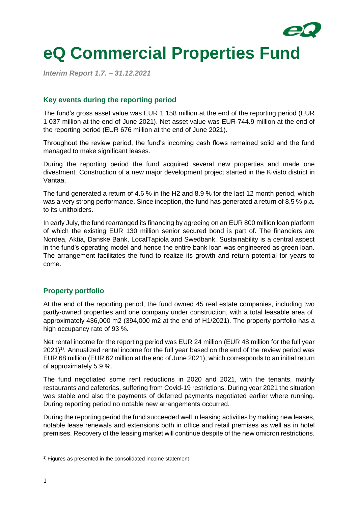

# **eQ Commercial Properties Fund**

*Interim Report 1.7. – 31.12.2021*

# **Key events during the reporting period**

The fund's gross asset value was EUR 1 158 million at the end of the reporting period (EUR 1 037 million at the end of June 2021). Net asset value was EUR 744.9 million at the end of the reporting period (EUR 676 million at the end of June 2021).

Throughout the review period, the fund's incoming cash flows remained solid and the fund managed to make significant leases.

During the reporting period the fund acquired several new properties and made one divestment. Construction of a new major development project started in the Kivistö district in Vantaa.

The fund generated a return of 4.6 % in the H2 and 8.9 % for the last 12 month period, which was a very strong performance. Since inception, the fund has generated a return of 8.5 % p.a. to its unitholders.

In early July, the fund rearranged its financing by agreeing on an EUR 800 million loan platform of which the existing EUR 130 million senior secured bond is part of. The financiers are Nordea, Aktia, Danske Bank, LocalTapiola and Swedbank. Sustainability is a central aspect in the fund's operating model and hence the entire bank loan was engineered as green loan. The arrangement facilitates the fund to realize its growth and return potential for years to come.

# **Property portfolio**

At the end of the reporting period, the fund owned 45 real estate companies, including two partly-owned properties and one company under construction, with a total leasable area of approximately 436,000 m2 (394,000 m2 at the end of H1/2021). The property portfolio has a high occupancy rate of 93 %.

Net rental income for the reporting period was EUR 24 million (EUR 48 million for the full year  $2021$ <sup>1)</sup>. Annualized rental income for the full year based on the end of the review period was EUR 68 million (EUR 62 million at the end of June 2021), which corresponds to an initial return of approximately 5.9 %.

The fund negotiated some rent reductions in 2020 and 2021, with the tenants, mainly restaurants and cafeterias, suffering from Covid-19 restrictions. During year 2021 the situation was stable and also the payments of deferred payments negotiated earlier where running. During reporting period no notable new arrangements occurred.

During the reporting period the fund succeeded well in leasing activities by making new leases, notable lease renewals and extensions both in office and retail premises as well as in hotel premises. Recovery of the leasing market will continue despite of the new omicron restrictions.

 $1)$  Figures as presented in the consolidated income statement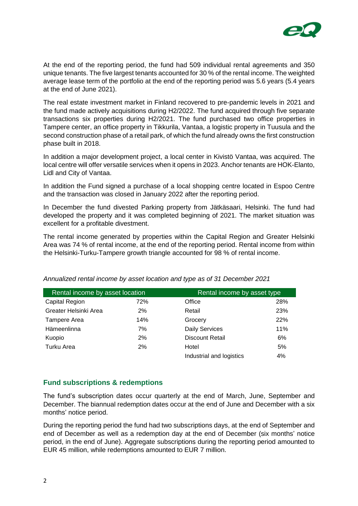

At the end of the reporting period, the fund had 509 individual rental agreements and 350 unique tenants. The five largest tenants accounted for 30 % of the rental income. The weighted average lease term of the portfolio at the end of the reporting period was 5.6 years (5.4 years at the end of June 2021).

The real estate investment market in Finland recovered to pre-pandemic levels in 2021 and the fund made actively acquisitions during H2/2022. The fund acquired through five separate transactions six properties during H2/2021. The fund purchased two office properties in Tampere center, an office property in Tikkurila, Vantaa, a logistic property in Tuusula and the second construction phase of a retail park, of which the fund already owns the first construction phase built in 2018.

In addition a major development project, a local center in Kivistö Vantaa, was acquired. The local centre will offer versatile services when it opens in 2023. Anchor tenants are HOK-Elanto, Lidl and City of Vantaa.

In addition the Fund signed a purchase of a local shopping centre located in Espoo Centre and the transaction was closed in January 2022 after the reporting period.

In December the fund divested Parking property from Jätkäsaari, Helsinki. The fund had developed the property and it was completed beginning of 2021. The market situation was excellent for a profitable divestment.

The rental income generated by properties within the Capital Region and Greater Helsinki Area was 74 % of rental income, at the end of the reporting period. Rental income from within the Helsinki-Turku-Tampere growth triangle accounted for 98 % of rental income.

| Rental income by asset location |     | Rental income by asset type |     |
|---------------------------------|-----|-----------------------------|-----|
| Capital Region                  | 72% | Office                      | 28% |
| Greater Helsinki Area           | 2%  | Retail                      | 23% |
| Tampere Area                    | 14% | Grocery                     | 22% |
| Hämeenlinna                     | 7%  | <b>Daily Services</b>       | 11% |
| Kuopio                          | 2%  | <b>Discount Retail</b>      | 6%  |
| Turku Area                      | 2%  | Hotel                       | 5%  |
|                                 |     | Industrial and logistics    | 4%  |

*Annualized rental income by asset location and type as of 31 December 2021*

# **Fund subscriptions & redemptions**

The fund's subscription dates occur quarterly at the end of March, June, September and December. The biannual redemption dates occur at the end of June and December with a six months' notice period.

During the reporting period the fund had two subscriptions days, at the end of September and end of December as well as a redemption day at the end of December (six months' notice period, in the end of June). Aggregate subscriptions during the reporting period amounted to EUR 45 million, while redemptions amounted to EUR 7 million.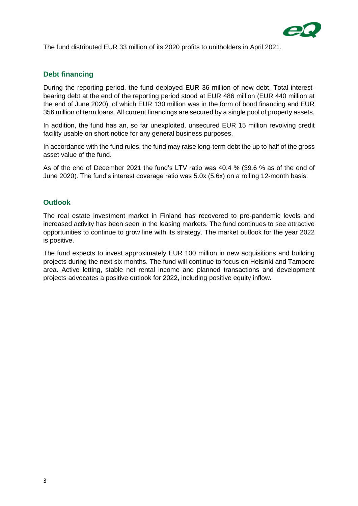

The fund distributed EUR 33 million of its 2020 profits to unitholders in April 2021.

# **Debt financing**

During the reporting period, the fund deployed EUR 36 million of new debt. Total interestbearing debt at the end of the reporting period stood at EUR 486 million (EUR 440 million at the end of June 2020), of which EUR 130 million was in the form of bond financing and EUR 356 million of term loans. All current financings are secured by a single pool of property assets.

In addition, the fund has an, so far unexploited, unsecured EUR 15 million revolving credit facility usable on short notice for any general business purposes.

In accordance with the fund rules, the fund may raise long-term debt the up to half of the gross asset value of the fund.

As of the end of December 2021 the fund's LTV ratio was 40.4 % (39.6 % as of the end of June 2020). The fund's interest coverage ratio was 5.0x (5.6x) on a rolling 12-month basis.

#### **Outlook**

The real estate investment market in Finland has recovered to pre-pandemic levels and increased activity has been seen in the leasing markets. The fund continues to see attractive opportunities to continue to grow line with its strategy. The market outlook for the year 2022 is positive.

The fund expects to invest approximately EUR 100 million in new acquisitions and building projects during the next six months. The fund will continue to focus on Helsinki and Tampere area. Active letting, stable net rental income and planned transactions and development projects advocates a positive outlook for 2022, including positive equity inflow.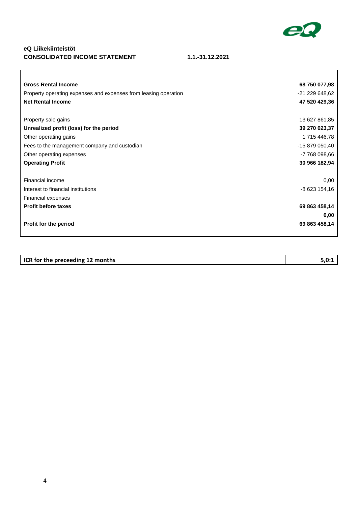

 $\overline{\mathbf{1}}$ 

# **eQ Liikekiinteistöt CONSOLIDATED INCOME STATEMENT 1.1.-31.12.2021**

| <b>Gross Rental Income</b>                                      | 68 750 077,98  |
|-----------------------------------------------------------------|----------------|
| Property operating expenses and expenses from leasing operation | -21 229 648,62 |
| <b>Net Rental Income</b>                                        | 47 520 429,36  |
|                                                                 |                |
| Property sale gains                                             | 13 627 861,85  |
| Unrealized profit (loss) for the period                         | 39 270 023,37  |
| Other operating gains                                           | 1715 446,78    |
| Fees to the management company and custodian                    | -15 879 050,40 |
| Other operating expenses                                        | -7 768 098,66  |
| <b>Operating Profit</b>                                         | 30 966 182,94  |
|                                                                 |                |
| Financial income                                                | 0,00           |
| Interest to financial institutions                              | -8 623 154,16  |
| Financial expenses                                              |                |
| <b>Profit before taxes</b>                                      | 69 863 458,14  |
|                                                                 | 0,00           |
| Profit for the period                                           | 69 863 458,14  |
|                                                                 |                |

| ICR for the preceeding 12 months | 5.0:1 |
|----------------------------------|-------|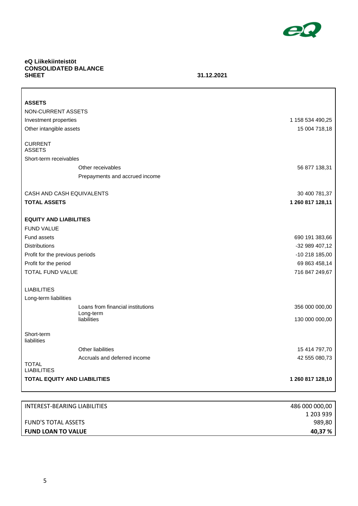

1 203 939 989,80

# **eQ Liikekiinteistöt CONSOLIDATED BALANCE**

#### **SHEET 31.12.2021**

| <b>ASSETS</b>                       |                                   |                  |
|-------------------------------------|-----------------------------------|------------------|
| NON-CURRENT ASSETS                  |                                   |                  |
| Investment properties               |                                   | 1 158 534 490,25 |
| Other intangible assets             |                                   | 15 004 718,18    |
|                                     |                                   |                  |
| <b>CURRENT</b><br><b>ASSETS</b>     |                                   |                  |
| Short-term receivables              |                                   |                  |
|                                     | Other receivables                 | 56 877 138,31    |
|                                     | Prepayments and accrued income    |                  |
|                                     |                                   |                  |
| CASH AND CASH EQUIVALENTS           |                                   | 30 400 781,37    |
| <b>TOTAL ASSETS</b>                 |                                   | 1 260 817 128,11 |
|                                     |                                   |                  |
| <b>EQUITY AND LIABILITIES</b>       |                                   |                  |
| <b>FUND VALUE</b>                   |                                   |                  |
| Fund assets                         |                                   | 690 191 383,66   |
| <b>Distributions</b>                |                                   | -32 989 407,12   |
| Profit for the previous periods     |                                   | -10 218 185,00   |
| Profit for the period               |                                   | 69 863 458,14    |
| TOTAL FUND VALUE                    |                                   | 716 847 249,67   |
|                                     |                                   |                  |
| <b>LIABILITIES</b>                  |                                   |                  |
| Long-term liabilities               |                                   |                  |
|                                     | Loans from financial institutions | 356 000 000,00   |
|                                     | Long-term<br>liabilities          | 130 000 000,00   |
|                                     |                                   |                  |
| Short-term<br>liabilities           |                                   |                  |
|                                     | Other liabilities                 | 15 414 797,70    |
|                                     | Accruals and deferred income      | 42 555 080,73    |
| <b>TOTAL</b><br><b>LIABILITIES</b>  |                                   |                  |
| <b>TOTAL EQUITY AND LIABILITIES</b> |                                   | 1 260 817 128,10 |
|                                     |                                   |                  |
|                                     |                                   |                  |
| INTEREST-BEARING LIABILITIES        |                                   | 486 000 000,00   |